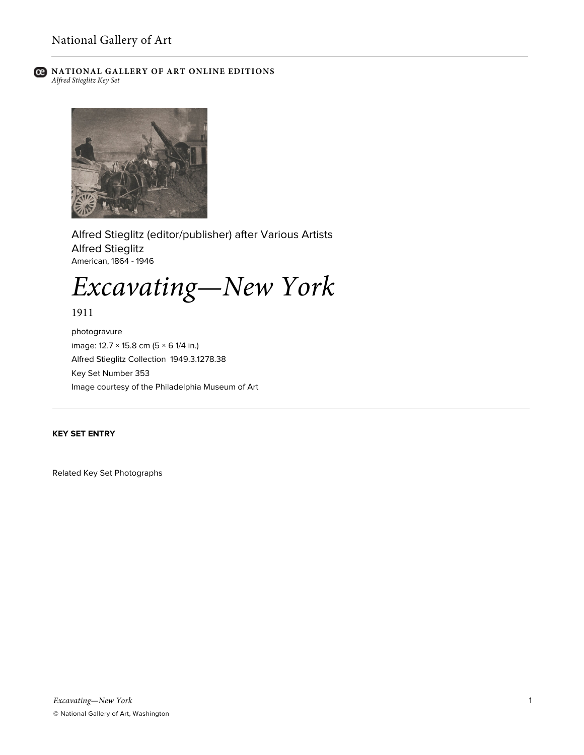

# **C** NATIONAL GALLERY OF ART ONLINE EDITIONS *Alfred Stieglitz Key Set*



Alfred Stieglitz (editor/publisher) after Various Artists Alfred Stieglitz American, 1864 - 1946

*Excavating—New York*

1911

photogravure image: 12.7 × 15.8 cm (5 × 6 1/4 in.) Alfred Stieglitz Collection 1949.3.1278.38 Key Set Number 353 Image courtesy of the Philadelphia Museum of Art

# **KEY SET ENTRY**

Related Key Set Photographs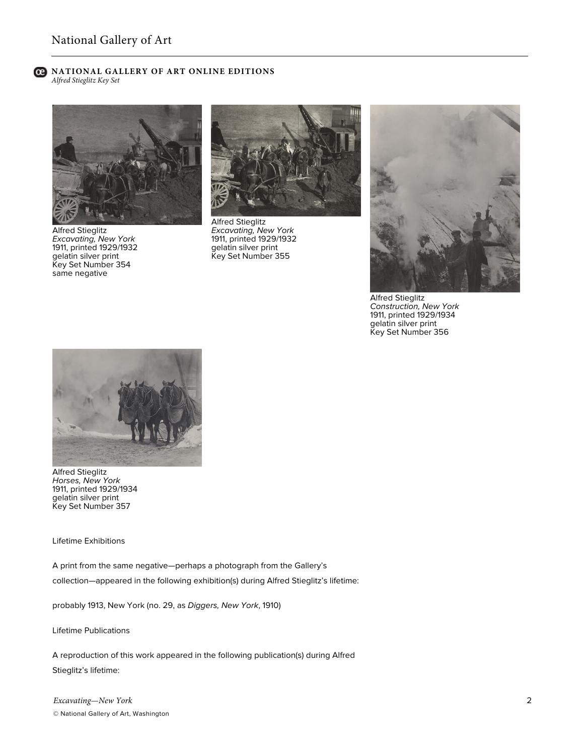### **C** NATIONAL GALLERY OF ART ONLINE EDITIONS *Alfred Stieglitz Key Set*



Alfred Stieglitz *Excavating, New York* 1911, printed 1929/1932 gelatin silver print Key Set Number 354 same negative



Alfred Stieglitz *Excavating, New York* 1911, printed 1929/1932 gelatin silver print Key Set Number 355



**Alfred Stieglitz** *Construction, New York* 1911, printed 1929/1934 gelatin silver print Key Set Number 356



Alfred Stieglitz *Horses, New York* 1911, printed 1929/1934 gelatin silver print Key Set Number 357

Lifetime Exhibitions

A print from the same negative—perhaps a photograph from the Gallery's collection—appeared in the following exhibition(s) during Alfred Stieglitz's lifetime:

probably 1913, New York (no. 29, as *Diggers, New York*, 1910)

Lifetime Publications

A reproduction of this work appeared in the following publication(s) during Alfred Stieglitz's lifetime: